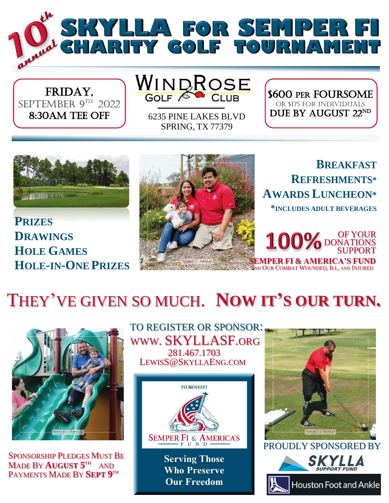

FRIDAY, SEPTEMBER 9TH 2022 8:30AM TEE OFF

WINDROSE

6235 PINE LAKES BLVD SPRING, TX 77379

\$600 per Foursome OR \$175 for INDIVIDUALS DUE BY AUGUST 22ND



**PRIZES DRAWINGS HOLE GAMES HOLE-IN-ONE PRIZES**



**BREAKFAST REFRESHMENTS\* AWARDS LUNCHEON\* \*INCLUDES ADULT BEVERAGES**

> OF YOUR DONATIONS SUPPORT

THEY'VE GIVEN SO MUCH. **NOW IT'S OUR TURN.**



SPONSORSHIP PLEDGES MUST BE PAYMENTS MADE BY **SEPT 9 TH** MADE BY **AUGUST 5 TH**  AND



**Who Preserve Our Freedom**